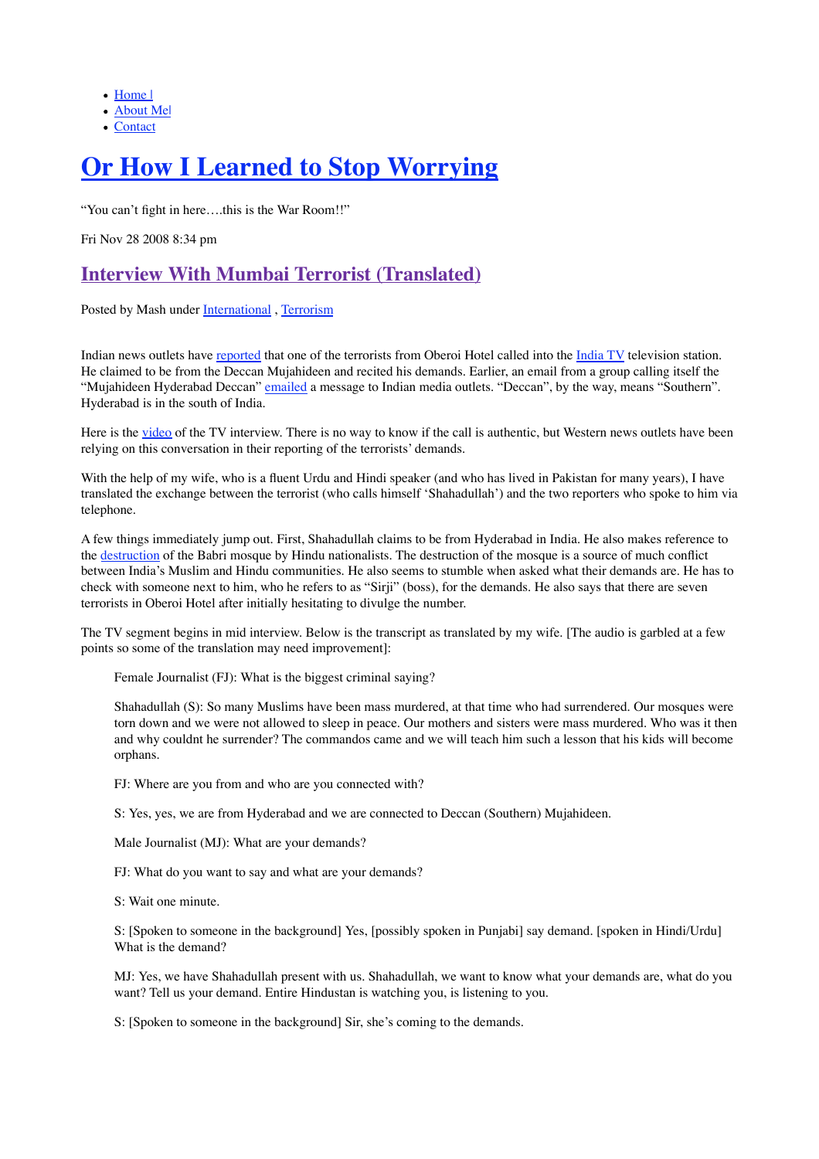- Home |
- About Me|
- Contact

# **Or How I Learned to Stop Worrying**

"You can't fight in here….this is the War Room!!"

Fri Nov 28 2008 8:34 pm

# **Interview With Mumbai Terrorist (Translated)**

Posted by Mash under International, Terrorism

Indian news outlets have reported that one of the terrorists from Oberoi Hotel called into the India TV television station. He claimed to be from the Deccan Mujahideen and recited his demands. Earlier, an email from a group calling itself the "Mujahideen Hyderabad Deccan" emailed a message to Indian media outlets. "Deccan", by the way, means "Southern". Hyderabad is in the south of India.

Here is the video of the TV interview. There is no way to know if the call is authentic, but Western news outlets have been relying on this conversation in their reporting of the terrorists' demands.

With the help of my wife, who is a fluent Urdu and Hindi speaker (and who has lived in Pakistan for many years), I have translated the exchange between the terrorist (who calls himself 'Shahadullah') and the two reporters who spoke to him via telephone.

A few things immediately jump out. First, Shahadullah claims to be from Hyderabad in India. He also makes reference to the destruction of the Babri mosque by Hindu nationalists. The destruction of the mosque is a source of much conflict between India's Muslim and Hindu communities. He also seems to stumble when asked what their demands are. He has to check with someone next to him, who he refers to as "Sirji" (boss), for the demands. He also says that there are seven terrorists in Oberoi Hotel after initially hesitating to divulge the number.

The TV segment begins in mid interview. Below is the transcript as translated by my wife. [The audio is garbled at a few points so some of the translation may need improvement]:

Female Journalist (FJ): What is the biggest criminal saying?

Shahadullah (S): So many Muslims have been mass murdered, at that time who had surrendered. Our mosques were torn down and we were not allowed to sleep in peace. Our mothers and sisters were mass murdered. Who was it then and why couldnt he surrender? The commandos came and we will teach him such a lesson that his kids will become orphans.

FJ: Where are you from and who are you connected with?

S: Yes, yes, we are from Hyderabad and we are connected to Deccan (Southern) Mujahideen.

Male Journalist (MJ): What are your demands?

FJ: What do you want to say and what are your demands?

S: Wait one minute.

S: [Spoken to someone in the background] Yes, [possibly spoken in Punjabi] say demand. [spoken in Hindi/Urdu] What is the demand?

MJ: Yes, we have Shahadullah present with us. Shahadullah, we want to know what your demands are, what do you want? Tell us your demand. Entire Hindustan is watching you, is listening to you.

S: [Spoken to someone in the background] Sir, she's coming to the demands.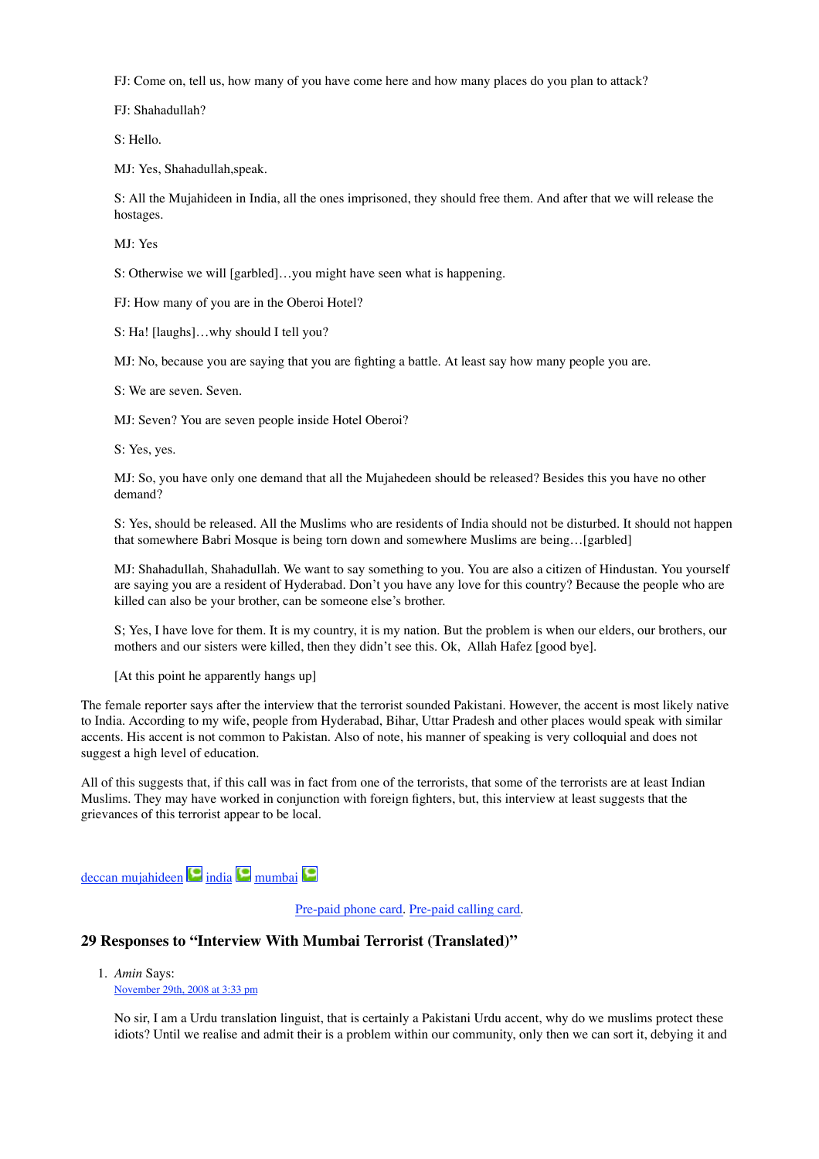FJ: Come on, tell us, how many of you have come here and how many places do you plan to attack?

FJ: Shahadullah?

S: Hello.

MJ: Yes, Shahadullah,speak.

S: All the Mujahideen in India, all the ones imprisoned, they should free them. And after that we will release the hostages.

MJ: Yes

S: Otherwise we will [garbled]…you might have seen what is happening.

FJ: How many of you are in the Oberoi Hotel?

S: Ha! [laughs]…why should I tell you?

MJ: No, because you are saying that you are fighting a battle. At least say how many people you are.

S: We are seven. Seven.

MJ: Seven? You are seven people inside Hotel Oberoi?

S: Yes, yes.

MJ: So, you have only one demand that all the Mujahedeen should be released? Besides this you have no other demand?

S: Yes, should be released. All the Muslims who are residents of India should not be disturbed. It should not happen that somewhere Babri Mosque is being torn down and somewhere Muslims are being…[garbled]

MJ: Shahadullah, Shahadullah. We want to say something to you. You are also a citizen of Hindustan. You yourself are saying you are a resident of Hyderabad. Don't you have any love for this country? Because the people who are killed can also be your brother, can be someone else's brother.

S; Yes, I have love for them. It is my country, it is my nation. But the problem is when our elders, our brothers, our mothers and our sisters were killed, then they didn't see this. Ok, Allah Hafez [good bye].

[At this point he apparently hangs up]

The female reporter says after the interview that the terrorist sounded Pakistani. However, the accent is most likely native to India. According to my wife, people from Hyderabad, Bihar, Uttar Pradesh and other places would speak with similar accents. His accent is not common to Pakistan. Also of note, his manner of speaking is very colloquial and does not suggest a high level of education.

All of this suggests that, if this call was in fact from one of the terrorists, that some of the terrorists are at least Indian Muslims. They may have worked in conjunction with foreign fighters, but, this interview at least suggests that the grievances of this terrorist appear to be local.

 $deccan$  mujahideen  $\Box$  india  $\Box$  mumbai

Pre-paid phone card. Pre-paid calling card.

#### **29 Responses to "Interview With Mumbai Terrorist (Translated)"**

*Amin* Says: 1.November 29th, 2008 at 3:33 pm

No sir, I am a Urdu translation linguist, that is certainly a Pakistani Urdu accent, why do we muslims protect these idiots? Until we realise and admit their is a problem within our community, only then we can sort it, debying it and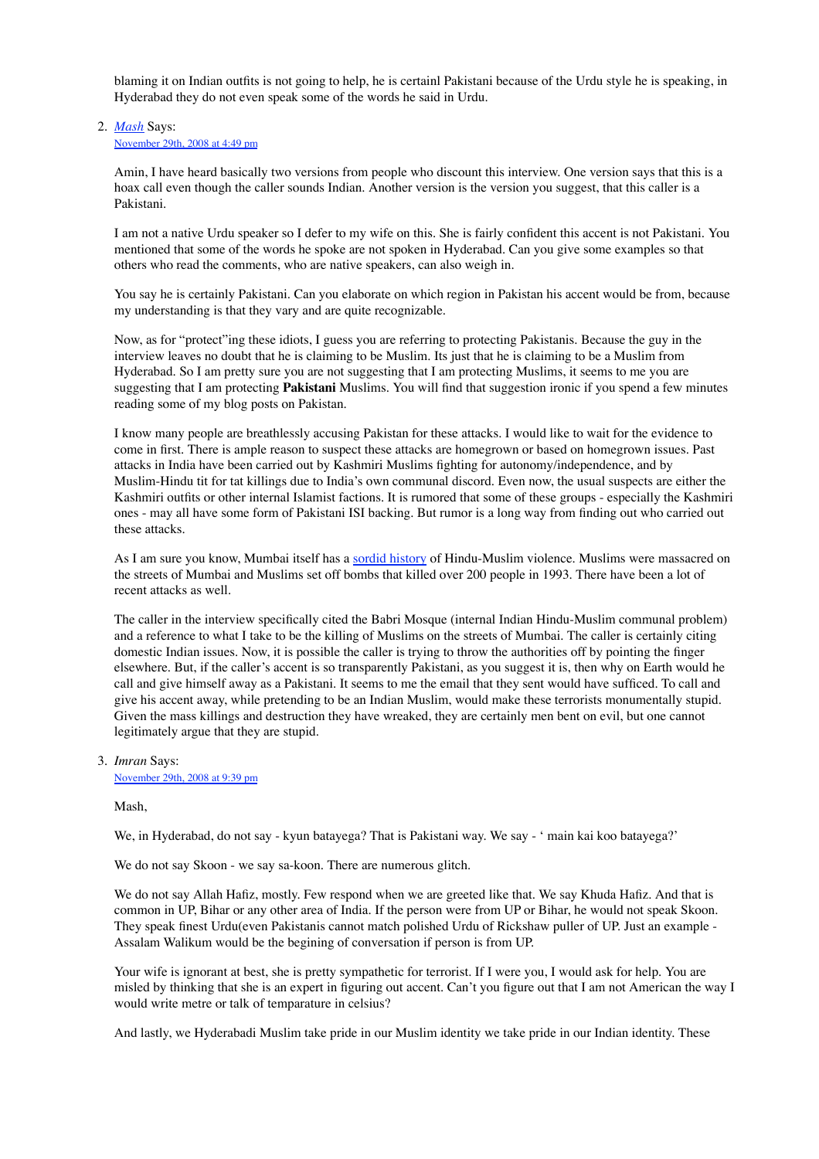blaming it on Indian outfits is not going to help, he is certainl Pakistani because of the Urdu style he is speaking, in Hyderabad they do not even speak some of the words he said in Urdu.

#### *Mash* Says: 2. November 29th, 2008 at 4:49 pm

Amin, I have heard basically two versions from people who discount this interview. One version says that this is a hoax call even though the caller sounds Indian. Another version is the version you suggest, that this caller is a Pakistani.

I am not a native Urdu speaker so I defer to my wife on this. She is fairly confident this accent is not Pakistani. You mentioned that some of the words he spoke are not spoken in Hyderabad. Can you give some examples so that others who read the comments, who are native speakers, can also weigh in.

You say he is certainly Pakistani. Can you elaborate on which region in Pakistan his accent would be from, because my understanding is that they vary and are quite recognizable.

Now, as for "protect"ing these idiots, I guess you are referring to protecting Pakistanis. Because the guy in the interview leaves no doubt that he is claiming to be Muslim. Its just that he is claiming to be a Muslim from Hyderabad. So I am pretty sure you are not suggesting that I am protecting Muslims, it seems to me you are suggesting that I am protecting **Pakistani** Muslims. You will find that suggestion ironic if you spend a few minutes reading some of my blog posts on Pakistan.

I know many people are breathlessly accusing Pakistan for these attacks. I would like to wait for the evidence to come in first. There is ample reason to suspect these attacks are homegrown or based on homegrown issues. Past attacks in India have been carried out by Kashmiri Muslims fighting for autonomy/independence, and by Muslim-Hindu tit for tat killings due to India's own communal discord. Even now, the usual suspects are either the Kashmiri outfits or other internal Islamist factions. It is rumored that some of these groups - especially the Kashmiri ones - may all have some form of Pakistani ISI backing. But rumor is a long way from finding out who carried out these attacks.

As I am sure you know, Mumbai itself has a sordid history of Hindu-Muslim violence. Muslims were massacred on the streets of Mumbai and Muslims set off bombs that killed over 200 people in 1993. There have been a lot of recent attacks as well.

The caller in the interview specifically cited the Babri Mosque (internal Indian Hindu-Muslim communal problem) and a reference to what I take to be the killing of Muslims on the streets of Mumbai. The caller is certainly citing domestic Indian issues. Now, it is possible the caller is trying to throw the authorities off by pointing the finger elsewhere. But, if the caller's accent is so transparently Pakistani, as you suggest it is, then why on Earth would he call and give himself away as a Pakistani. It seems to me the email that they sent would have sufficed. To call and give his accent away, while pretending to be an Indian Muslim, would make these terrorists monumentally stupid. Given the mass killings and destruction they have wreaked, they are certainly men bent on evil, but one cannot legitimately argue that they are stupid.

### *Imran* Says: 3.

November 29th, 2008 at 9:39 pm

#### Mash,

We, in Hyderabad, do not say - kyun batayega? That is Pakistani way. We say - ' main kai koo batayega?'

We do not say Skoon - we say sa-koon. There are numerous glitch.

We do not say Allah Hafiz, mostly. Few respond when we are greeted like that. We say Khuda Hafiz. And that is common in UP, Bihar or any other area of India. If the person were from UP or Bihar, he would not speak Skoon. They speak finest Urdu(even Pakistanis cannot match polished Urdu of Rickshaw puller of UP. Just an example - Assalam Walikum would be the begining of conversation if person is from UP.

Your wife is ignorant at best, she is pretty sympathetic for terrorist. If I were you, I would ask for help. You are misled by thinking that she is an expert in figuring out accent. Can't you figure out that I am not American the way I would write metre or talk of temparature in celsius?

And lastly, we Hyderabadi Muslim take pride in our Muslim identity we take pride in our Indian identity. These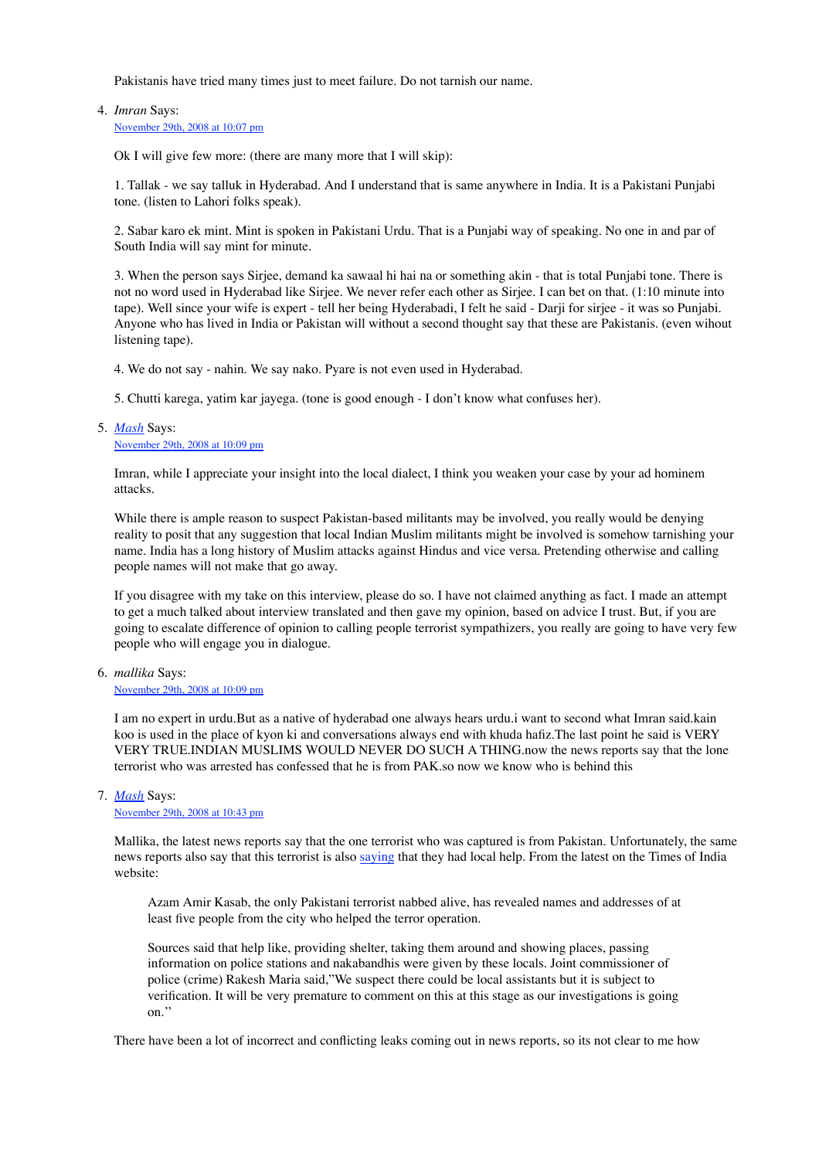Pakistanis have tried many times just to meet failure. Do not tarnish our name.

*Imran* Says: 4.

November 29th, 2008 at 10:07 pm

Ok I will give few more: (there are many more that I will skip):

1. Tallak - we say talluk in Hyderabad. And I understand that is same anywhere in India. It is a Pakistani Punjabi tone. (listen to Lahori folks speak).

2. Sabar karo ek mint. Mint is spoken in Pakistani Urdu. That is a Punjabi way of speaking. No one in and par of South India will say mint for minute.

3. When the person says Sirjee, demand ka sawaal hi hai na or something akin - that is total Punjabi tone. There is not no word used in Hyderabad like Sirjee. We never refer each other as Sirjee. I can bet on that. (1:10 minute into tape). Well since your wife is expert - tell her being Hyderabadi, I felt he said - Darji for sirjee - it was so Punjabi. Anyone who has lived in India or Pakistan will without a second thought say that these are Pakistanis. (even wihout listening tape).

4. We do not say - nahin. We say nako. Pyare is not even used in Hyderabad.

5. Chutti karega, yatim kar jayega. (tone is good enough - I don't know what confuses her).

*Mash* Says: 5. November 29th, 2008 at 10:09 pm

> Imran, while I appreciate your insight into the local dialect, I think you weaken your case by your ad hominem attacks.

While there is ample reason to suspect Pakistan-based militants may be involved, you really would be denying reality to posit that any suggestion that local Indian Muslim militants might be involved is somehow tarnishing your name. India has a long history of Muslim attacks against Hindus and vice versa. Pretending otherwise and calling people names will not make that go away.

If you disagree with my take on this interview, please do so. I have not claimed anything as fact. I made an attempt to get a much talked about interview translated and then gave my opinion, based on advice I trust. But, if you are going to escalate difference of opinion to calling people terrorist sympathizers, you really are going to have very few people who will engage you in dialogue.

*mallika* Says: 6.

#### November 29th, 2008 at 10:09 pm

I am no expert in urdu.But as a native of hyderabad one always hears urdu.i want to second what Imran said.kain koo is used in the place of kyon ki and conversations always end with khuda hafiz.The last point he said is VERY VERY TRUE.INDIAN MUSLIMS WOULD NEVER DO SUCH A THING.now the news reports say that the lone terrorist who was arrested has confessed that he is from PAK.so now we know who is behind this

#### *Mash* Says: 7.

November 29th, 2008 at 10:43 pm

Mallika, the latest news reports say that the one terrorist who was captured is from Pakistan. Unfortunately, the same news reports also say that this terrorist is also saying that they had local help. From the latest on the Times of India website:

Azam Amir Kasab, the only Pakistani terrorist nabbed alive, has revealed names and addresses of at least five people from the city who helped the terror operation.

Sources said that help like, providing shelter, taking them around and showing places, passing information on police stations and nakabandhis were given by these locals. Joint commissioner of police (crime) Rakesh Maria said,"We suspect there could be local assistants but it is subject to verification. It will be very premature to comment on this at this stage as our investigations is going on.''

There have been a lot of incorrect and conflicting leaks coming out in news reports, so its not clear to me how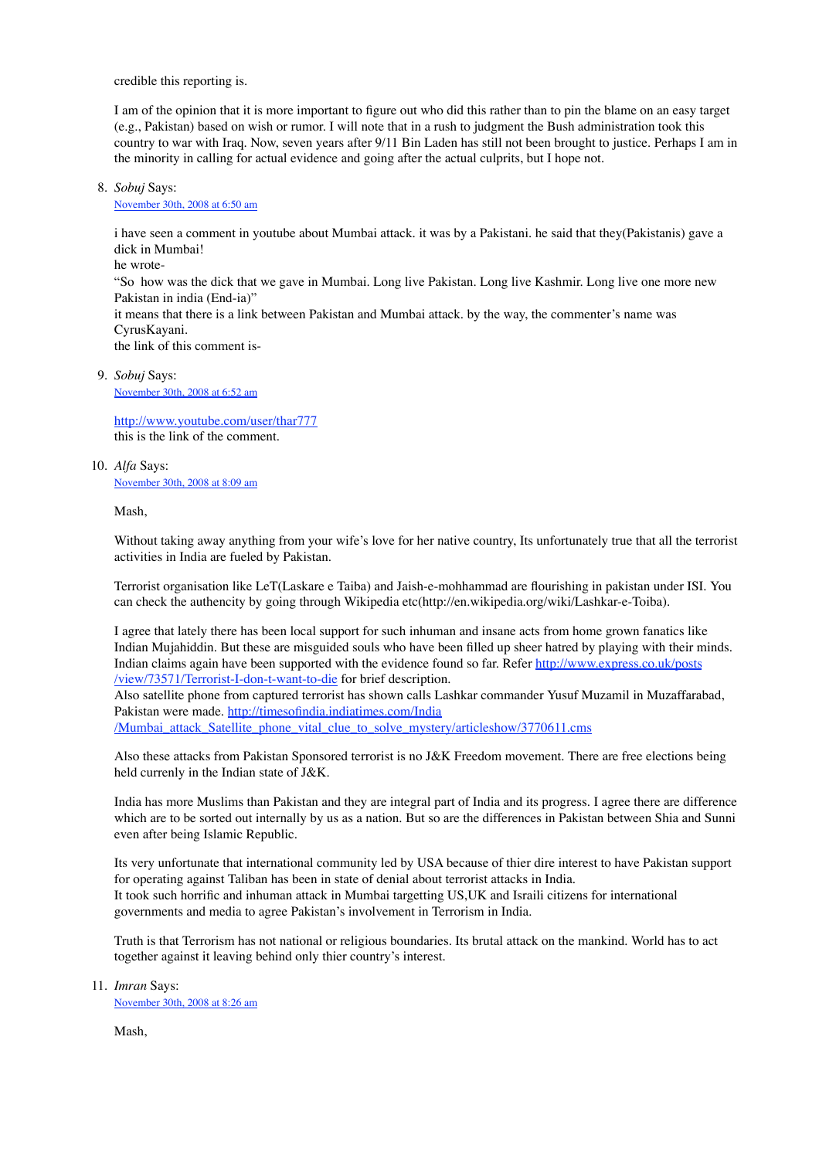credible this reporting is.

I am of the opinion that it is more important to figure out who did this rather than to pin the blame on an easy target (e.g., Pakistan) based on wish or rumor. I will note that in a rush to judgment the Bush administration took this country to war with Iraq. Now, seven years after 9/11 Bin Laden has still not been brought to justice. Perhaps I am in the minority in calling for actual evidence and going after the actual culprits, but I hope not.

#### *Sobuj* Says: 8.

November 30th, 2008 at 6:50 am

i have seen a comment in youtube about Mumbai attack. it was by a Pakistani. he said that they(Pakistanis) gave a dick in Mumbai!

he wrote-

"So how was the dick that we gave in Mumbai. Long live Pakistan. Long live Kashmir. Long live one more new Pakistan in india (End-ia)"

it means that there is a link between Pakistan and Mumbai attack. by the way, the commenter's name was CyrusKayani.

the link of this comment is-

#### *Sobuj* Says: 9.

November 30th, 2008 at 6:52 am

http://www.youtube.com/user/thar777 this is the link of the comment.

#### *Alfa* Says: 10.

November 30th, 2008 at 8:09 am

Mash,

Without taking away anything from your wife's love for her native country, Its unfortunately true that all the terrorist activities in India are fueled by Pakistan.

Terrorist organisation like LeT(Laskare e Taiba) and Jaish-e-mohhammad are flourishing in pakistan under ISI. You can check the authencity by going through Wikipedia etc(http://en.wikipedia.org/wiki/Lashkar-e-Toiba).

I agree that lately there has been local support for such inhuman and insane acts from home grown fanatics like Indian Mujahiddin. But these are misguided souls who have been filled up sheer hatred by playing with their minds. Indian claims again have been supported with the evidence found so far. Refer http://www.express.co.uk/posts /view/73571/Terrorist-I-don-t-want-to-die for brief description.

Also satellite phone from captured terrorist has shown calls Lashkar commander Yusuf Muzamil in Muzaffarabad, Pakistan were made. http://timesofindia.indiatimes.com/India

/Mumbai\_attack\_Satellite\_phone\_vital\_clue\_to\_solve\_mystery/articleshow/3770611.cms

Also these attacks from Pakistan Sponsored terrorist is no J&K Freedom movement. There are free elections being held currenly in the Indian state of J&K.

India has more Muslims than Pakistan and they are integral part of India and its progress. I agree there are difference which are to be sorted out internally by us as a nation. But so are the differences in Pakistan between Shia and Sunni even after being Islamic Republic.

Its very unfortunate that international community led by USA because of thier dire interest to have Pakistan support for operating against Taliban has been in state of denial about terrorist attacks in India. It took such horrific and inhuman attack in Mumbai targetting US,UK and Israili citizens for international governments and media to agree Pakistan's involvement in Terrorism in India.

Truth is that Terrorism has not national or religious boundaries. Its brutal attack on the mankind. World has to act together against it leaving behind only thier country's interest.

*Imran* Says: 11.

November 30th, 2008 at 8:26 am

Mash,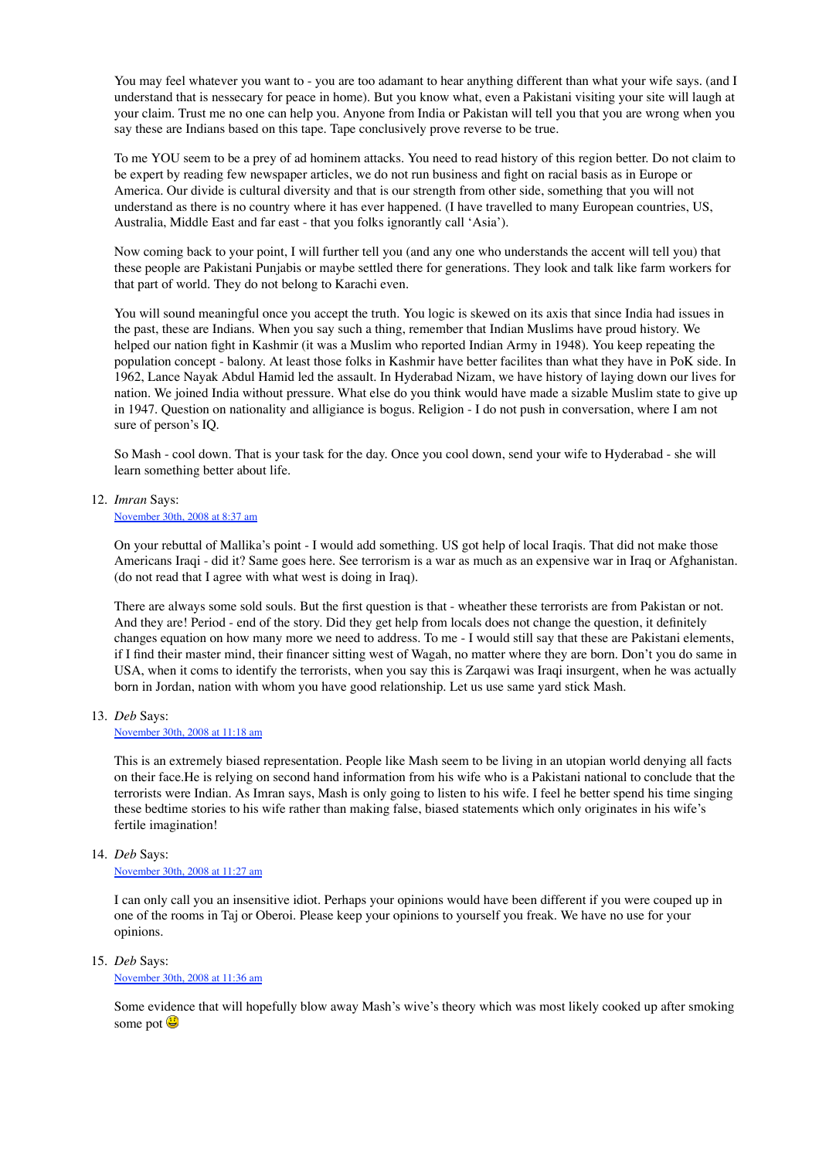You may feel whatever you want to - you are too adamant to hear anything different than what your wife says. (and I understand that is nessecary for peace in home). But you know what, even a Pakistani visiting your site will laugh at your claim. Trust me no one can help you. Anyone from India or Pakistan will tell you that you are wrong when you say these are Indians based on this tape. Tape conclusively prove reverse to be true.

To me YOU seem to be a prey of ad hominem attacks. You need to read history of this region better. Do not claim to be expert by reading few newspaper articles, we do not run business and fight on racial basis as in Europe or America. Our divide is cultural diversity and that is our strength from other side, something that you will not understand as there is no country where it has ever happened. (I have travelled to many European countries, US, Australia, Middle East and far east - that you folks ignorantly call 'Asia').

Now coming back to your point, I will further tell you (and any one who understands the accent will tell you) that these people are Pakistani Punjabis or maybe settled there for generations. They look and talk like farm workers for that part of world. They do not belong to Karachi even.

You will sound meaningful once you accept the truth. You logic is skewed on its axis that since India had issues in the past, these are Indians. When you say such a thing, remember that Indian Muslims have proud history. We helped our nation fight in Kashmir (it was a Muslim who reported Indian Army in 1948). You keep repeating the population concept - balony. At least those folks in Kashmir have better facilites than what they have in PoK side. In 1962, Lance Nayak Abdul Hamid led the assault. In Hyderabad Nizam, we have history of laying down our lives for nation. We joined India without pressure. What else do you think would have made a sizable Muslim state to give up in 1947. Question on nationality and alligiance is bogus. Religion - I do not push in conversation, where I am not sure of person's IQ.

So Mash - cool down. That is your task for the day. Once you cool down, send your wife to Hyderabad - she will learn something better about life.

*Imran* Says: 12.

#### November 30th, 2008 at 8:37 am

On your rebuttal of Mallika's point - I would add something. US got help of local Iraqis. That did not make those Americans Iraqi - did it? Same goes here. See terrorism is a war as much as an expensive war in Iraq or Afghanistan. (do not read that I agree with what west is doing in Iraq).

There are always some sold souls. But the first question is that - wheather these terrorists are from Pakistan or not. And they are! Period - end of the story. Did they get help from locals does not change the question, it definitely changes equation on how many more we need to address. To me - I would still say that these are Pakistani elements, if I find their master mind, their financer sitting west of Wagah, no matter where they are born. Don't you do same in USA, when it coms to identify the terrorists, when you say this is Zarqawi was Iraqi insurgent, when he was actually born in Jordan, nation with whom you have good relationship. Let us use same yard stick Mash.

*Deb* Says: 13.

#### November 30th, 2008 at 11:18 am

This is an extremely biased representation. People like Mash seem to be living in an utopian world denying all facts on their face.He is relying on second hand information from his wife who is a Pakistani national to conclude that the terrorists were Indian. As Imran says, Mash is only going to listen to his wife. I feel he better spend his time singing these bedtime stories to his wife rather than making false, biased statements which only originates in his wife's fertile imagination!

#### *Deb* Says: 14.

#### November 30th, 2008 at 11:27 am

I can only call you an insensitive idiot. Perhaps your opinions would have been different if you were couped up in one of the rooms in Taj or Oberoi. Please keep your opinions to yourself you freak. We have no use for your opinions.

*Deb* Says: 15.

November 30th, 2008 at 11:36 am

Some evidence that will hopefully blow away Mash's wive's theory which was most likely cooked up after smoking some pot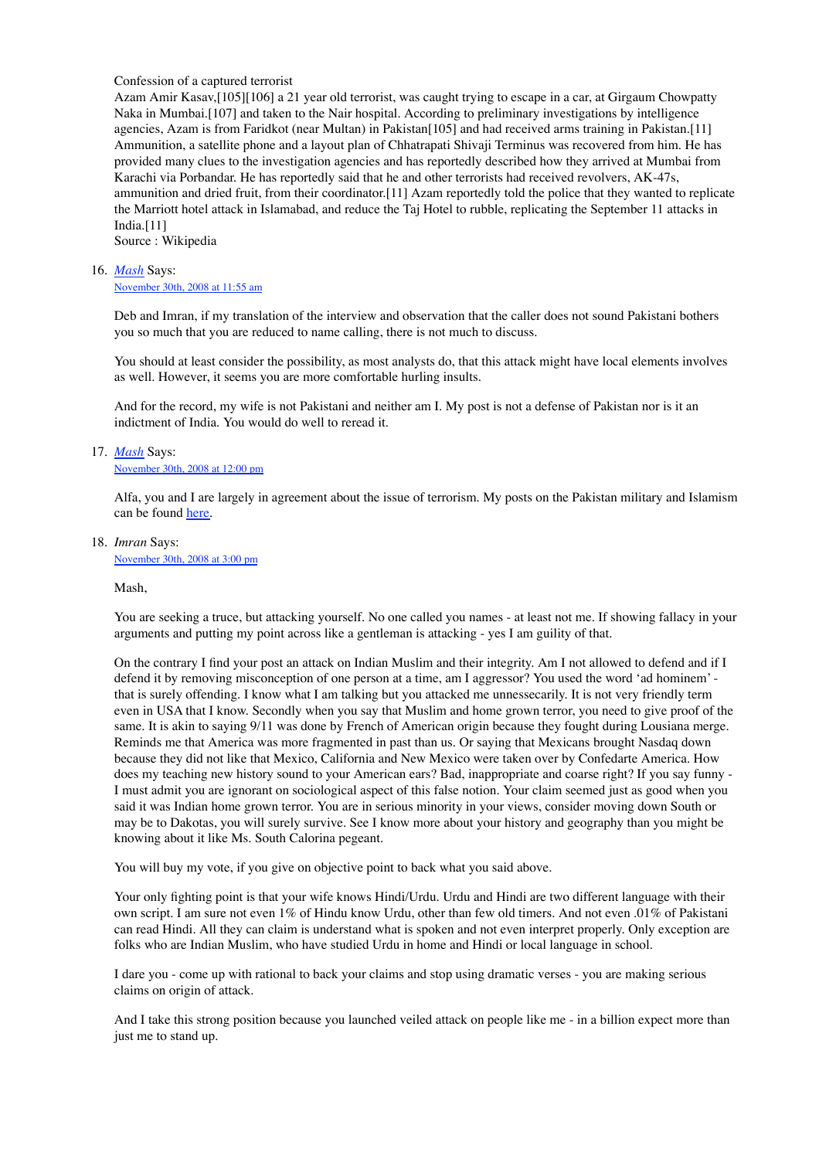#### Confession of a captured terrorist

Azam Amir Kasav,[105][106] a 21 year old terrorist, was caught trying to escape in a car, at Girgaum Chowpatty Naka in Mumbai.[107] and taken to the Nair hospital. According to preliminary investigations by intelligence agencies, Azam is from Faridkot (near Multan) in Pakistan[105] and had received arms training in Pakistan.[11] Ammunition, a satellite phone and a layout plan of Chhatrapati Shivaji Terminus was recovered from him. He has provided many clues to the investigation agencies and has reportedly described how they arrived at Mumbai from Karachi via Porbandar. He has reportedly said that he and other terrorists had received revolvers, AK-47s, ammunition and dried fruit, from their coordinator.[11] Azam reportedly told the police that they wanted to replicate the Marriott hotel attack in Islamabad, and reduce the Taj Hotel to rubble, replicating the September 11 attacks in India.[11]

Source : Wikipedia

#### *Mash* Says: 16.

#### November 30th, 2008 at 11:55 am

Deb and Imran, if my translation of the interview and observation that the caller does not sound Pakistani bothers you so much that you are reduced to name calling, there is not much to discuss.

You should at least consider the possibility, as most analysts do, that this attack might have local elements involves as well. However, it seems you are more comfortable hurling insults.

And for the record, my wife is not Pakistani and neither am I. My post is not a defense of Pakistan nor is it an indictment of India. You would do well to reread it.

#### *Mash* Says: 17.

#### November 30th, 2008 at 12:00 pm

Alfa, you and I are largely in agreement about the issue of terrorism. My posts on the Pakistan military and Islamism can be found here.

#### *Imran* Says: 18.

November 30th, 2008 at 3:00 pm

#### Mash,

You are seeking a truce, but attacking yourself. No one called you names - at least not me. If showing fallacy in your arguments and putting my point across like a gentleman is attacking - yes I am guility of that.

On the contrary I find your post an attack on Indian Muslim and their integrity. Am I not allowed to defend and if I defend it by removing misconception of one person at a time, am I aggressor? You used the word 'ad hominem' that is surely offending. I know what I am talking but you attacked me unnessecarily. It is not very friendly term even in USA that I know. Secondly when you say that Muslim and home grown terror, you need to give proof of the same. It is akin to saying 9/11 was done by French of American origin because they fought during Lousiana merge. Reminds me that America was more fragmented in past than us. Or saying that Mexicans brought Nasdaq down because they did not like that Mexico, California and New Mexico were taken over by Confedarte America. How does my teaching new history sound to your American ears? Bad, inappropriate and coarse right? If you say funny - I must admit you are ignorant on sociological aspect of this false notion. Your claim seemed just as good when you said it was Indian home grown terror. You are in serious minority in your views, consider moving down South or may be to Dakotas, you will surely survive. See I know more about your history and geography than you might be knowing about it like Ms. South Calorina pegeant.

You will buy my vote, if you give on objective point to back what you said above.

Your only fighting point is that your wife knows Hindi/Urdu. Urdu and Hindi are two different language with their own script. I am sure not even 1% of Hindu know Urdu, other than few old timers. And not even .01% of Pakistani can read Hindi. All they can claim is understand what is spoken and not even interpret properly. Only exception are folks who are Indian Muslim, who have studied Urdu in home and Hindi or local language in school.

I dare you - come up with rational to back your claims and stop using dramatic verses - you are making serious claims on origin of attack.

And I take this strong position because you launched veiled attack on people like me - in a billion expect more than just me to stand up.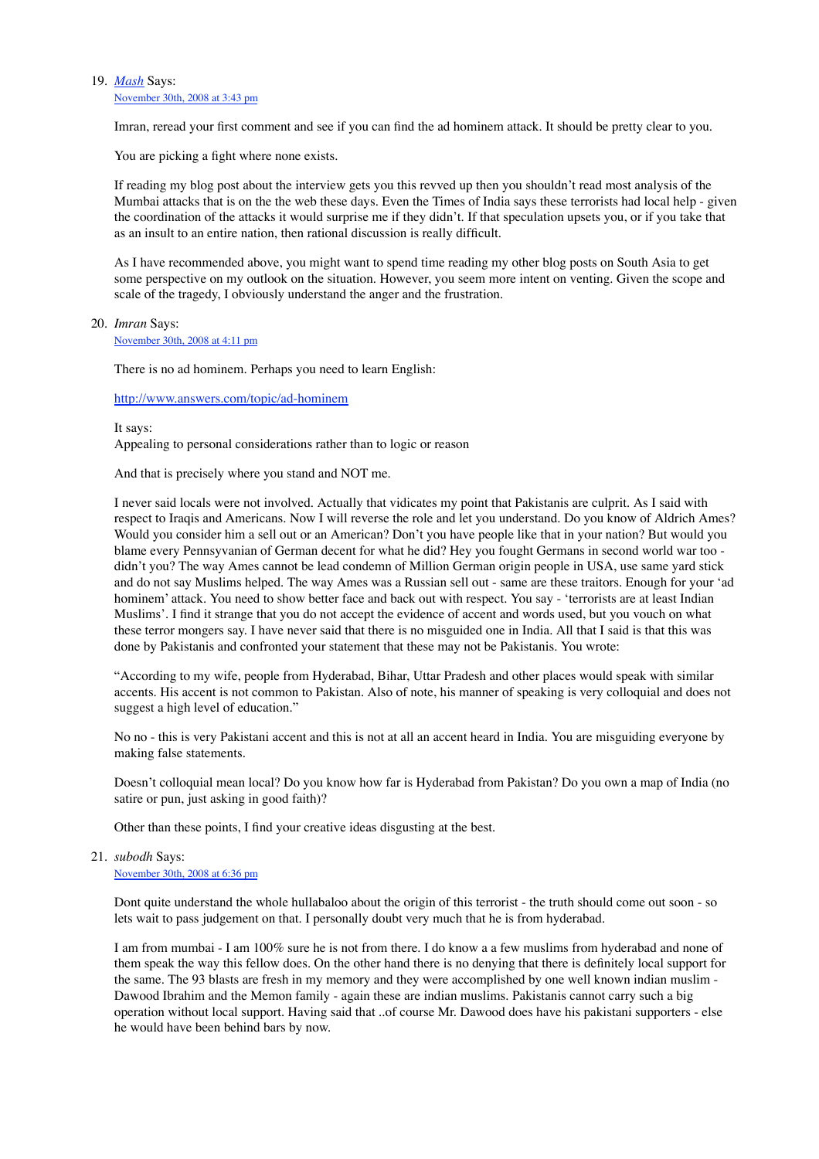#### *Mash* Says: 19.

November 30th, 2008 at 3:43 pm

Imran, reread your first comment and see if you can find the ad hominem attack. It should be pretty clear to you.

You are picking a fight where none exists.

If reading my blog post about the interview gets you this revved up then you shouldn't read most analysis of the Mumbai attacks that is on the the web these days. Even the Times of India says these terrorists had local help - given the coordination of the attacks it would surprise me if they didn't. If that speculation upsets you, or if you take that as an insult to an entire nation, then rational discussion is really difficult.

As I have recommended above, you might want to spend time reading my other blog posts on South Asia to get some perspective on my outlook on the situation. However, you seem more intent on venting. Given the scope and scale of the tragedy, I obviously understand the anger and the frustration.

*Imran* Says: 20.

November 30th, 2008 at 4:11 pm

There is no ad hominem. Perhaps you need to learn English:

#### http://www.answers.com/topic/ad-hominem

It says: Appealing to personal considerations rather than to logic or reason

And that is precisely where you stand and NOT me.

I never said locals were not involved. Actually that vidicates my point that Pakistanis are culprit. As I said with respect to Iraqis and Americans. Now I will reverse the role and let you understand. Do you know of Aldrich Ames? Would you consider him a sell out or an American? Don't you have people like that in your nation? But would you blame every Pennsyvanian of German decent for what he did? Hey you fought Germans in second world war too didn't you? The way Ames cannot be lead condemn of Million German origin people in USA, use same yard stick and do not say Muslims helped. The way Ames was a Russian sell out - same are these traitors. Enough for your 'ad hominem' attack. You need to show better face and back out with respect. You say - 'terrorists are at least Indian Muslims'. I find it strange that you do not accept the evidence of accent and words used, but you vouch on what these terror mongers say. I have never said that there is no misguided one in India. All that I said is that this was done by Pakistanis and confronted your statement that these may not be Pakistanis. You wrote:

"According to my wife, people from Hyderabad, Bihar, Uttar Pradesh and other places would speak with similar accents. His accent is not common to Pakistan. Also of note, his manner of speaking is very colloquial and does not suggest a high level of education."

No no - this is very Pakistani accent and this is not at all an accent heard in India. You are misguiding everyone by making false statements.

Doesn't colloquial mean local? Do you know how far is Hyderabad from Pakistan? Do you own a map of India (no satire or pun, just asking in good faith)?

Other than these points, I find your creative ideas disgusting at the best.

*subodh* Says: 21.

November 30th, 2008 at 6:36 pm

Dont quite understand the whole hullabaloo about the origin of this terrorist - the truth should come out soon - so lets wait to pass judgement on that. I personally doubt very much that he is from hyderabad.

I am from mumbai - I am 100% sure he is not from there. I do know a a few muslims from hyderabad and none of them speak the way this fellow does. On the other hand there is no denying that there is definitely local support for the same. The 93 blasts are fresh in my memory and they were accomplished by one well known indian muslim - Dawood Ibrahim and the Memon family - again these are indian muslims. Pakistanis cannot carry such a big operation without local support. Having said that ..of course Mr. Dawood does have his pakistani supporters - else he would have been behind bars by now.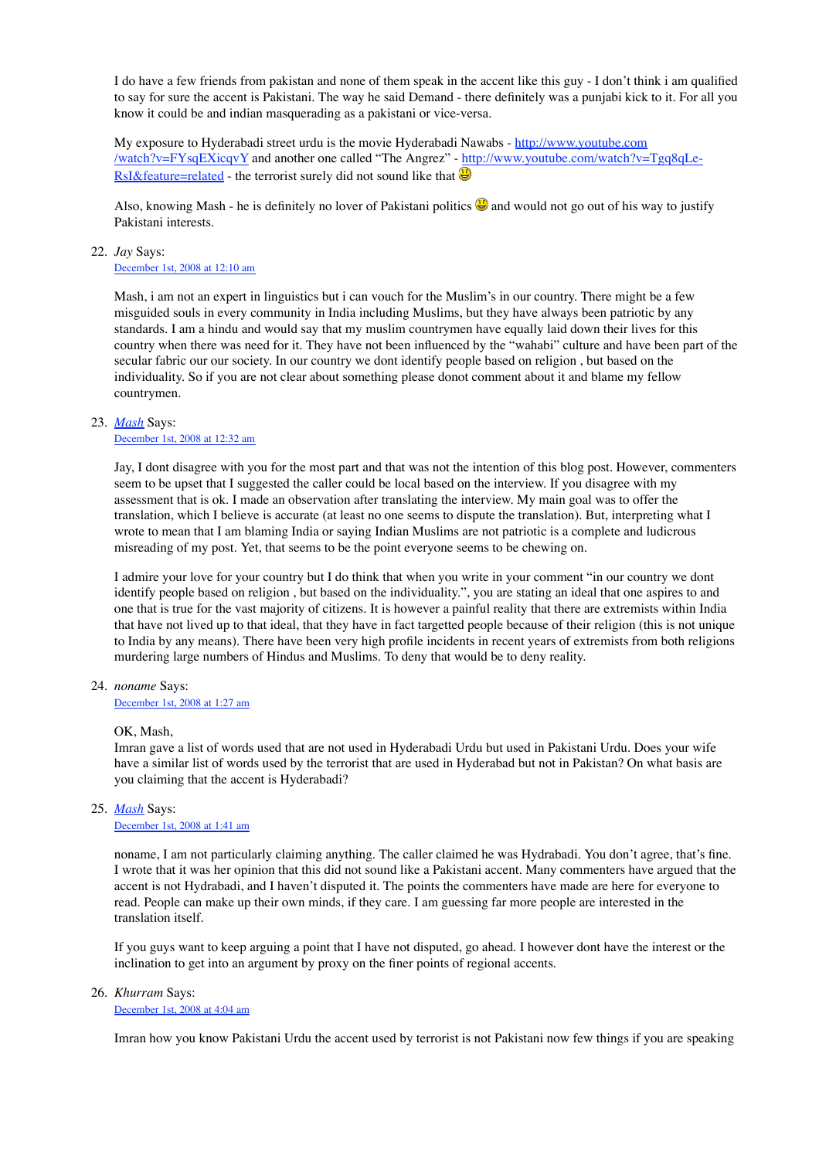I do have a few friends from pakistan and none of them speak in the accent like this guy - I don't think i am qualified to say for sure the accent is Pakistani. The way he said Demand - there definitely was a punjabi kick to it. For all you know it could be and indian masquerading as a pakistani or vice-versa.

My exposure to Hyderabadi street urdu is the movie Hyderabadi Nawabs - http://www.youtube.com /watch?v=FYsqEXicqvY and another one called "The Angrez" - http://www.youtube.com/watch?v=Tgq8qLe-RsI&feature=related - the terrorist surely did not sound like that  $\bigcirc$ 

Also, knowing Mash - he is definitely no lover of Pakistani politics  $\bigcirc$  and would not go out of his way to justify Pakistani interests.

#### *Jay* Says: 22.

December 1st, 2008 at 12:10 am

Mash, i am not an expert in linguistics but i can vouch for the Muslim's in our country. There might be a few misguided souls in every community in India including Muslims, but they have always been patriotic by any standards. I am a hindu and would say that my muslim countrymen have equally laid down their lives for this country when there was need for it. They have not been influenced by the "wahabi" culture and have been part of the secular fabric our our society. In our country we dont identify people based on religion , but based on the individuality. So if you are not clear about something please donot comment about it and blame my fellow countrymen.

#### *Mash* Says: 23.

#### December 1st, 2008 at 12:32 am

Jay, I dont disagree with you for the most part and that was not the intention of this blog post. However, commenters seem to be upset that I suggested the caller could be local based on the interview. If you disagree with my assessment that is ok. I made an observation after translating the interview. My main goal was to offer the translation, which I believe is accurate (at least no one seems to dispute the translation). But, interpreting what I wrote to mean that I am blaming India or saying Indian Muslims are not patriotic is a complete and ludicrous misreading of my post. Yet, that seems to be the point everyone seems to be chewing on.

I admire your love for your country but I do think that when you write in your comment "in our country we dont identify people based on religion , but based on the individuality.", you are stating an ideal that one aspires to and one that is true for the vast majority of citizens. It is however a painful reality that there are extremists within India that have not lived up to that ideal, that they have in fact targetted people because of their religion (this is not unique to India by any means). There have been very high profile incidents in recent years of extremists from both religions murdering large numbers of Hindus and Muslims. To deny that would be to deny reality.

*noname* Says: 24.

#### December 1st, 2008 at 1:27 am

#### OK, Mash

Imran gave a list of words used that are not used in Hyderabadi Urdu but used in Pakistani Urdu. Does your wife have a similar list of words used by the terrorist that are used in Hyderabad but not in Pakistan? On what basis are you claiming that the accent is Hyderabadi?

#### *Mash* Says: 25.

December 1st, 2008 at 1:41 am

noname, I am not particularly claiming anything. The caller claimed he was Hydrabadi. You don't agree, that's fine. I wrote that it was her opinion that this did not sound like a Pakistani accent. Many commenters have argued that the accent is not Hydrabadi, and I haven't disputed it. The points the commenters have made are here for everyone to read. People can make up their own minds, if they care. I am guessing far more people are interested in the translation itself.

If you guys want to keep arguing a point that I have not disputed, go ahead. I however dont have the interest or the inclination to get into an argument by proxy on the finer points of regional accents.

#### *Khurram* Says: 26.

#### December 1st, 2008 at 4:04 am

Imran how you know Pakistani Urdu the accent used by terrorist is not Pakistani now few things if you are speaking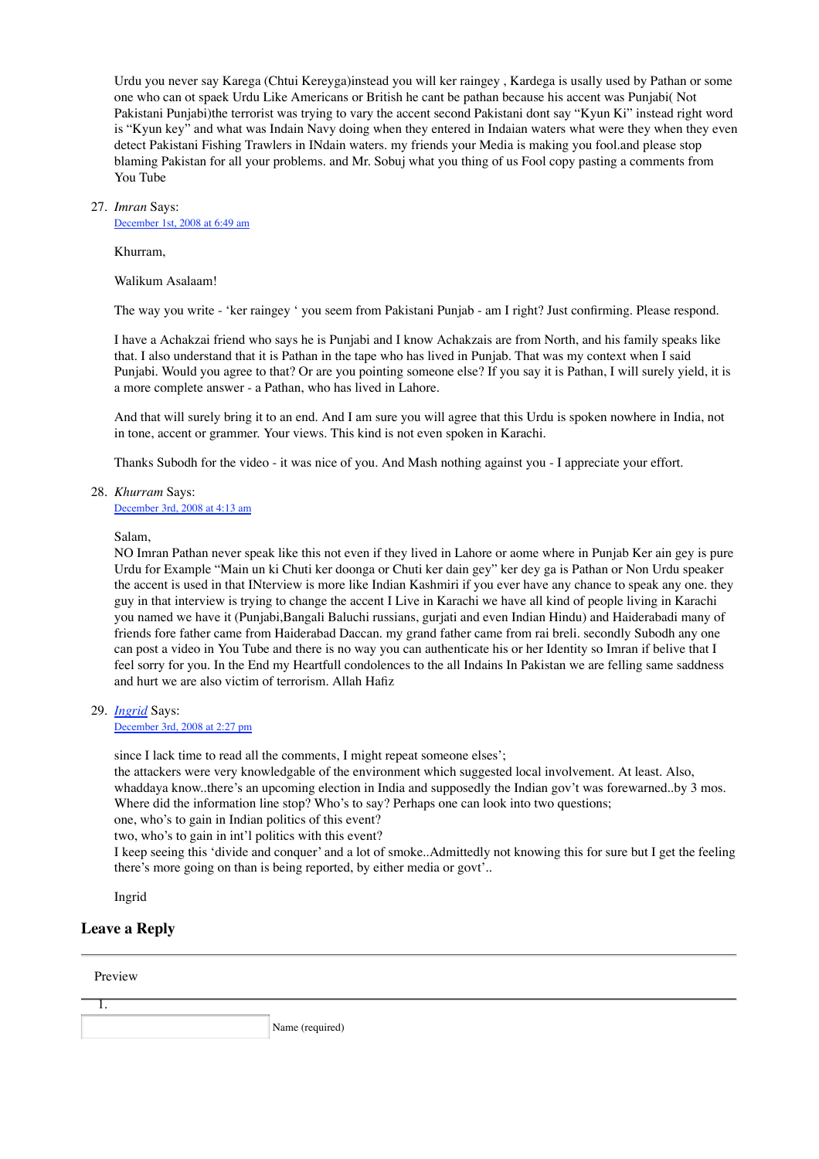Urdu you never say Karega (Chtui Kereyga)instead you will ker raingey , Kardega is usally used by Pathan or some one who can ot spaek Urdu Like Americans or British he cant be pathan because his accent was Punjabi( Not Pakistani Punjabi)the terrorist was trying to vary the accent second Pakistani dont say "Kyun Ki" instead right word is "Kyun key" and what was Indain Navy doing when they entered in Indaian waters what were they when they even detect Pakistani Fishing Trawlers in INdain waters. my friends your Media is making you fool.and please stop blaming Pakistan for all your problems. and Mr. Sobuj what you thing of us Fool copy pasting a comments from You Tube

#### *Imran* Says: 27.

December 1st, 2008 at 6:49 am

Khurram,

Walikum Asalaam!

The way you write - 'ker raingey ' you seem from Pakistani Punjab - am I right? Just confirming. Please respond.

I have a Achakzai friend who says he is Punjabi and I know Achakzais are from North, and his family speaks like that. I also understand that it is Pathan in the tape who has lived in Punjab. That was my context when I said Punjabi. Would you agree to that? Or are you pointing someone else? If you say it is Pathan, I will surely yield, it is a more complete answer - a Pathan, who has lived in Lahore.

And that will surely bring it to an end. And I am sure you will agree that this Urdu is spoken nowhere in India, not in tone, accent or grammer. Your views. This kind is not even spoken in Karachi.

Thanks Subodh for the video - it was nice of you. And Mash nothing against you - I appreciate your effort.

*Khurram* Says: 28. December 3rd, 2008 at 4:13 am

Salam,

NO Imran Pathan never speak like this not even if they lived in Lahore or aome where in Punjab Ker ain gey is pure Urdu for Example "Main un ki Chuti ker doonga or Chuti ker dain gey" ker dey ga is Pathan or Non Urdu speaker the accent is used in that INterview is more like Indian Kashmiri if you ever have any chance to speak any one. they guy in that interview is trying to change the accent I Live in Karachi we have all kind of people living in Karachi you named we have it (Punjabi,Bangali Baluchi russians, gurjati and even Indian Hindu) and Haiderabadi many of friends fore father came from Haiderabad Daccan. my grand father came from rai breli. secondly Subodh any one can post a video in You Tube and there is no way you can authenticate his or her Identity so Imran if belive that I feel sorry for you. In the End my Heartfull condolences to the all Indains In Pakistan we are felling same saddness and hurt we are also victim of terrorism. Allah Hafiz

*Ingrid* Says: 29.

December 3rd, 2008 at 2:27 pm

since I lack time to read all the comments, I might repeat someone elses';

the attackers were very knowledgable of the environment which suggested local involvement. At least. Also, whaddaya know..there's an upcoming election in India and supposedly the Indian gov't was forewarned..by 3 mos. Where did the information line stop? Who's to say? Perhaps one can look into two questions;

one, who's to gain in Indian politics of this event?

two, who's to gain in int'l politics with this event?

I keep seeing this 'divide and conquer' and a lot of smoke..Admittedly not knowing this for sure but I get the feeling there's more going on than is being reported, by either media or govt'..

Ingrid

#### **Leave a Reply**

Preview

| Name (required) |
|-----------------|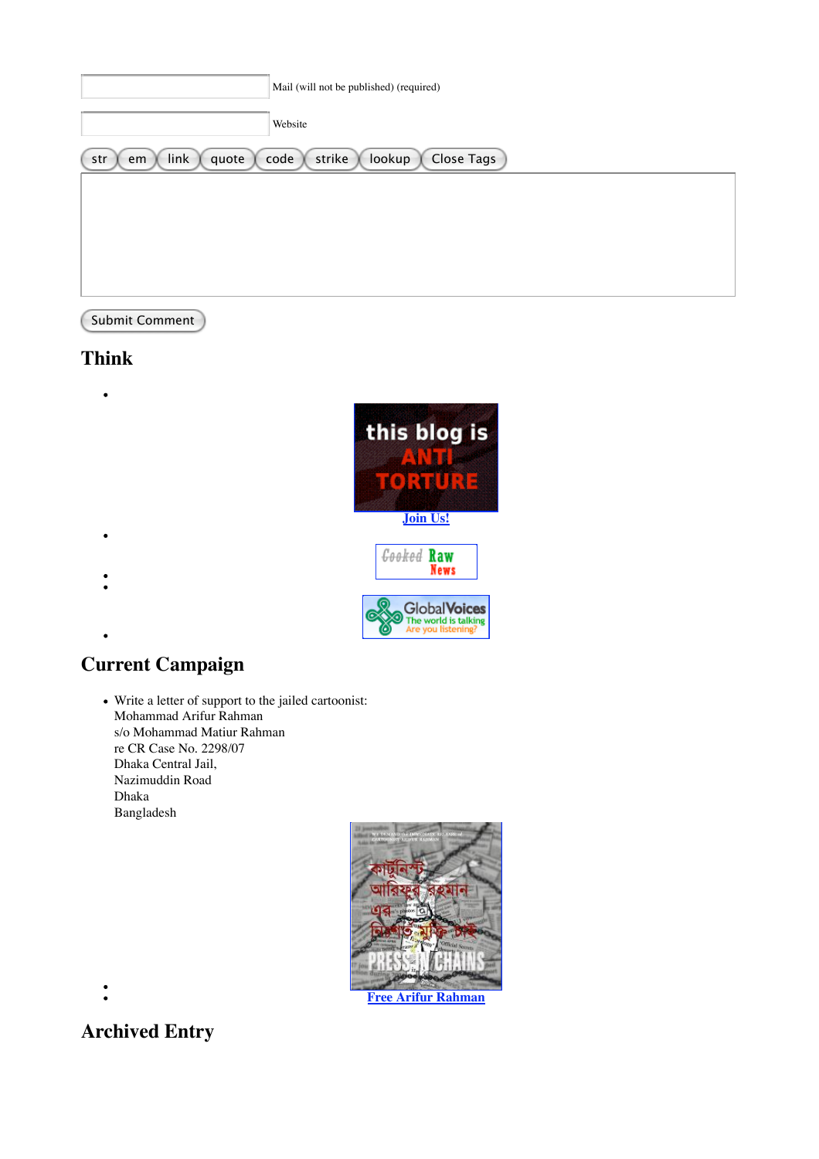| Mail (will not be published) (required)                              |  |
|----------------------------------------------------------------------|--|
| Website                                                              |  |
| lookup<br>Close Tags<br>link<br>strike<br>code<br>quote<br>str<br>em |  |
|                                                                      |  |
|                                                                      |  |
|                                                                      |  |
|                                                                      |  |

### Submit Comment

# **Think**

 $\bullet$ this blog is  $\bullet$ :  $\bullet$  and  $\bullet$  and  $\bullet$ **Join Us!**  $\bullet$ **Cooked Raw Slobal Voices**<br>The world is talking<br>Are you listening?

# **Current Campaign**

Write a letter of support to the jailed cartoonist: Mohammad Arifur Rahman s/o Mohammad Matiur Rahman re CR Case No. 2298/07 Dhaka Central Jail, Nazimuddin Road Dhaka Bangladesh





# **Archived Entry**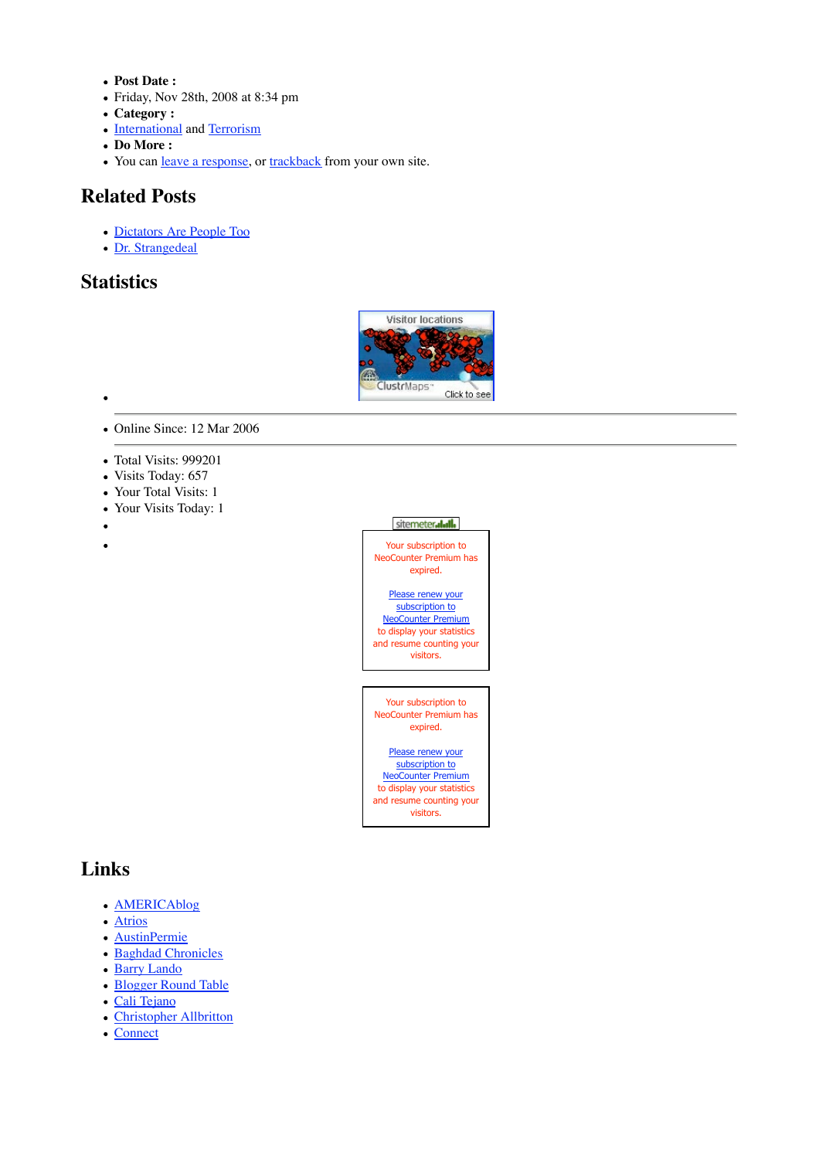- **Post Date :**
- Friday, Nov 28th, 2008 at 8:34 pm
- **Category :**
- International and Terrorism
- **Do More :**
- You can leave a response, or trackback from your own site.

### **Related Posts**

- Dictators Are People Too
- Dr. Strangedeal

### **Statistics**



- Online Since: 12 Mar 2006
- Total Visits: 999201
- Visits Today: 657
- Your Total Visits: 1
- Your Visits Today: 1
- $\bullet$
- $\bullet$



and resume counting your visitors.

# **Links**

- AMERICAblog
- Atrios
- AustinPermie
- Baghdad Chronicles
- Barry Lando
- Blogger Round Table
- Cali Tejano
- Christopher Allbritton
- Connect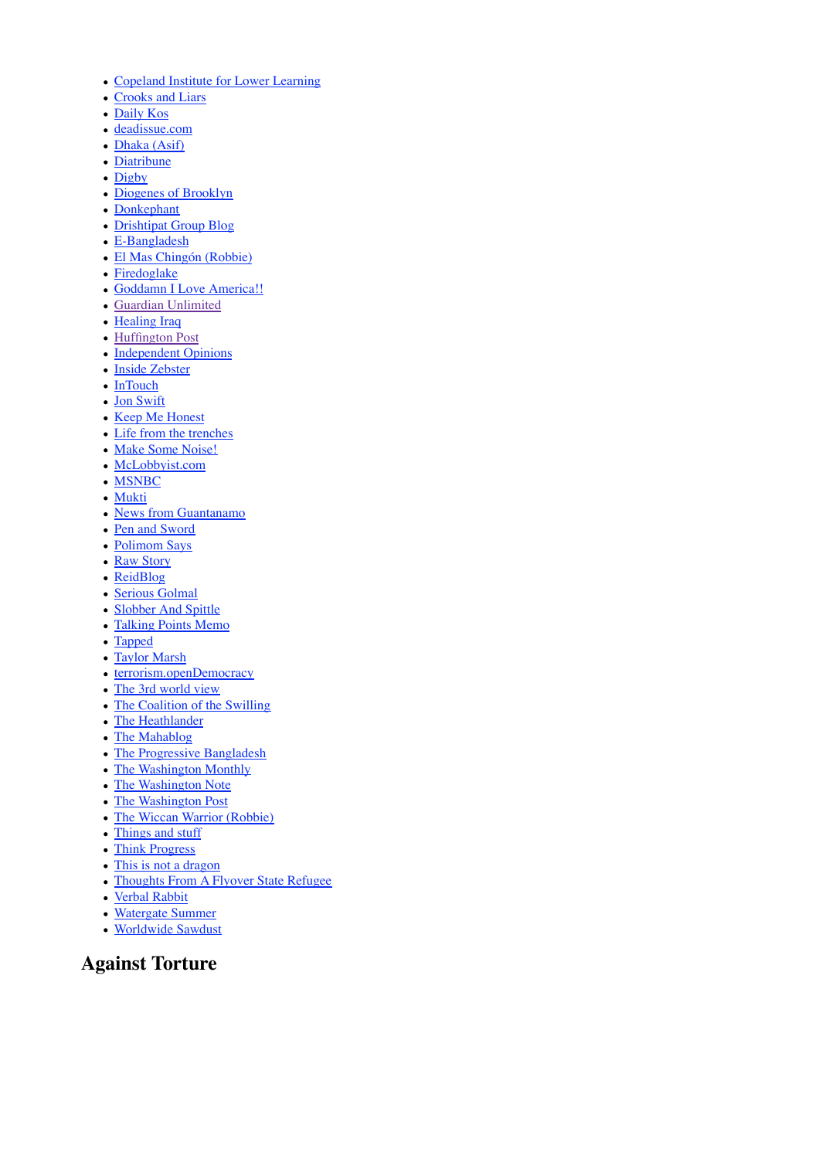- Copeland Institute for Lower Learning
- Crooks and Liars
- Daily Kos
- deadissue.com
- Dhaka (Asif)
- Diatribune
- Digby
- Diogenes of Brooklyn
- Donkephant
- Drishtipat Group Blog
- E-Bangladesh
- El Mas Chingón (Robbie)
- Firedoglake
- Goddamn I Love America!!
- Guardian Unlimited
- Healing Iraq
- Huffington Post
- Independent Opinions
- · Inside Zebster
- InTouch
- Jon Swift
- Keep Me Honest
- Life from the trenches
- Make Some Noise!
- McLobbyist.com
- MSNBC
- Mukti
- News from Guantanamo
- Pen and Sword
- Polimom Says
- Raw Story
- ReidBlog
- Serious Golmal
- Slobber And Spittle
- Talking Points Memo
- Tapped
- Taylor Marsh
- terrorism.openDemocracy
- The 3rd world view
- The Coalition of the Swilling
- The Heathlander
- The Mahablog
- The Progressive Bangladesh
- The Washington Monthly
- The Washington Note
- The Washington Post
- The Wiccan Warrior (Robbie)
- Things and stuff
- Think Progress
- This is not a dragon
- Thoughts From A Flyover State Refugee
- Verbal Rabbit
- Watergate Summer
- Worldwide Sawdust

### **Against Torture**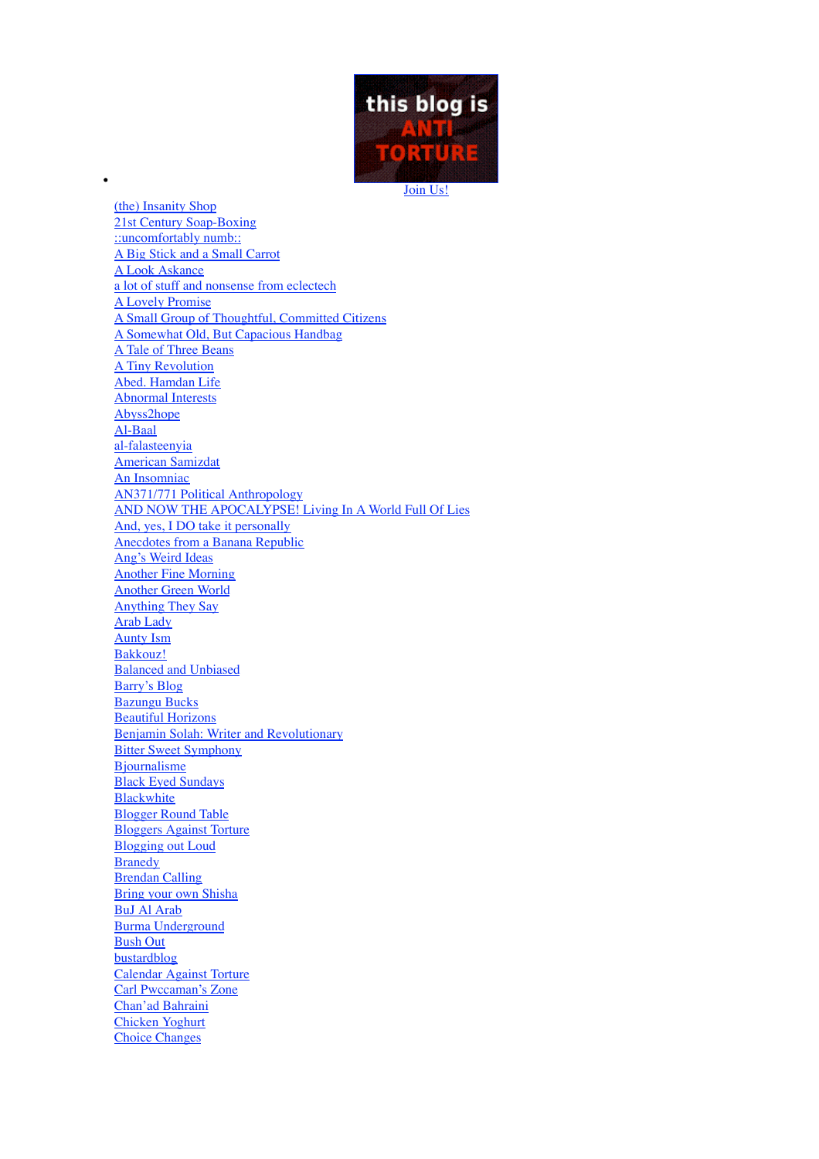

(the) Insanity Shop 21st Century Soap-Boxing ::uncomfortably numb:: A Big Stick and a Small Carrot A Look Askance a lot of stuff and nonsense from eclectech A Lovely Promise A Small Group of Thoughtful, Committed Citizens A Somewhat Old, But Capacious Handbag A Tale of Three Beans A Tiny Revolution Abed. Hamdan Life Abnormal Interests Abyss2hope Al-Baal al-falasteenyia American Samizdat An Insomniac AN371/771 Political Anthropology AND NOW THE APOCALYPSE! Living In A World Full Of Lies And, yes, I DO take it personally Anecdotes from a Banana Republic Ang's Weird Ideas Another Fine Morning Another Green World Anything They Say Arab Lady Aunty Ism Bakkouz! **Balanced and Unbiased** Barry's Blog Bazungu Bucks Beautiful Horizons Benjamin Solah: Writer and Revolutionary Bitter Sweet Symphony **Biournalisme** Black Eyed Sundays **Blackwhite** Blogger Round Table Bloggers Against Torture Blogging out Loud **Branedy** Brendan Calling Bring your own Shisha BuJ Al Arab Burma Underground Bush Out bustardblog Calendar Against Torture Carl Pwccaman's Zone Chan'ad Bahraini Chicken Yoghurt Choice Changes

 $\bullet$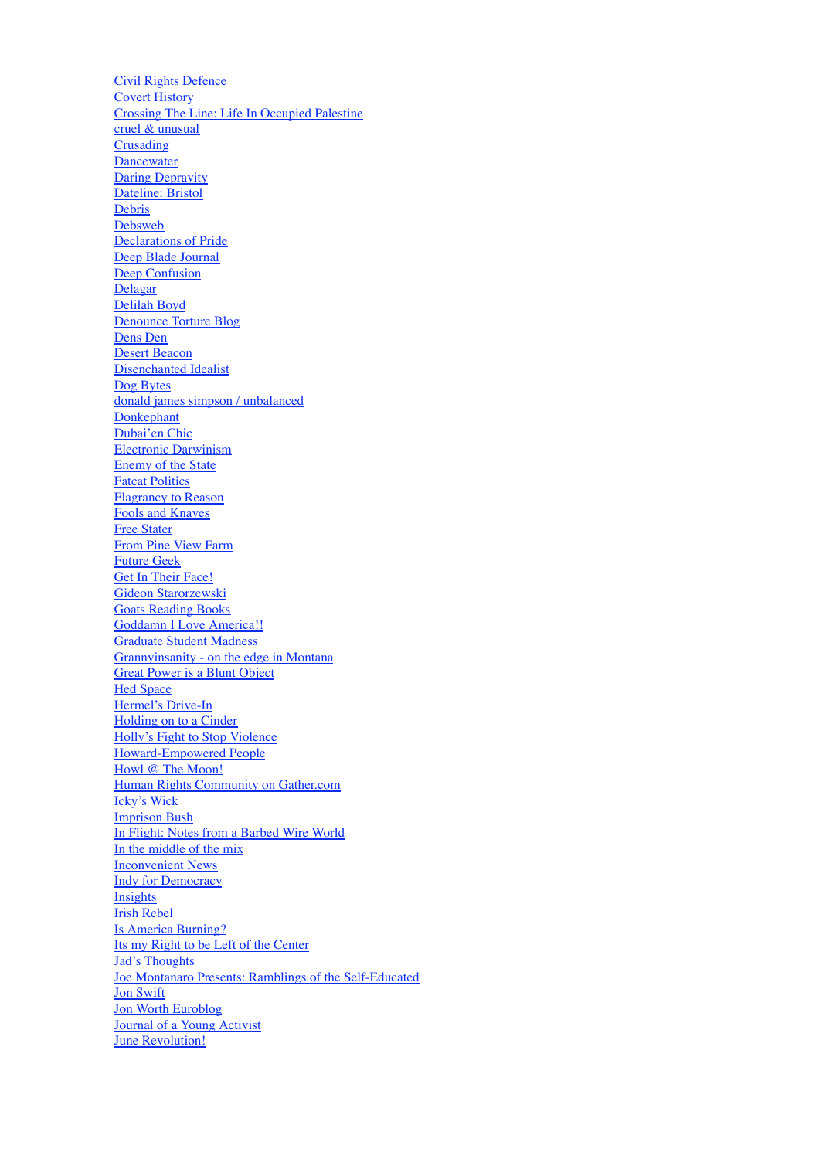Civil Rights Defence Covert History Crossing The Line: Life In Occupied Palestine cruel & unusual Crusading **Dancewater** Daring Depravity Dateline: Bristol Debris Debsweb Declarations of Pride Deep Blade Journal Deep Confusion **Delagar** Delilah Boyd Denounce Torture Blog Dens Den Desert Beacon Disenchanted Idealist Dog Bytes donald james simpson / unbalanced **Donkephant** Dubai'en Chic Electronic Darwinism Enemy of the State Fatcat Politics Flagrancy to Reason Fools and Knaves Free Stater From Pine View Farm Future Geek Get In Their Face! Gideon Starorzewski **Goats Reading Books** Goddamn I Love America!! Graduate Student Madness Grannyinsanity - on the edge in Montana Great Power is a Blunt Object **Hed Space** Hermel's Drive-In Holding on to a Cinder Holly's Fight to Stop Violence Howard-Empowered People Howl @ The Moon! Human Rights Community on Gather.com Icky's Wick Imprison Bush In Flight: Notes from a Barbed Wire World In the middle of the mix Inconvenient News Indy for Democracy Insights Irish Rebel Is America Burning? Its my Right to be Left of the Center Jad's Thoughts Joe Montanaro Presents: Ramblings of the Self-Educated Jon Swift Jon Worth Euroblog Journal of a Young Activist **June Revolution!**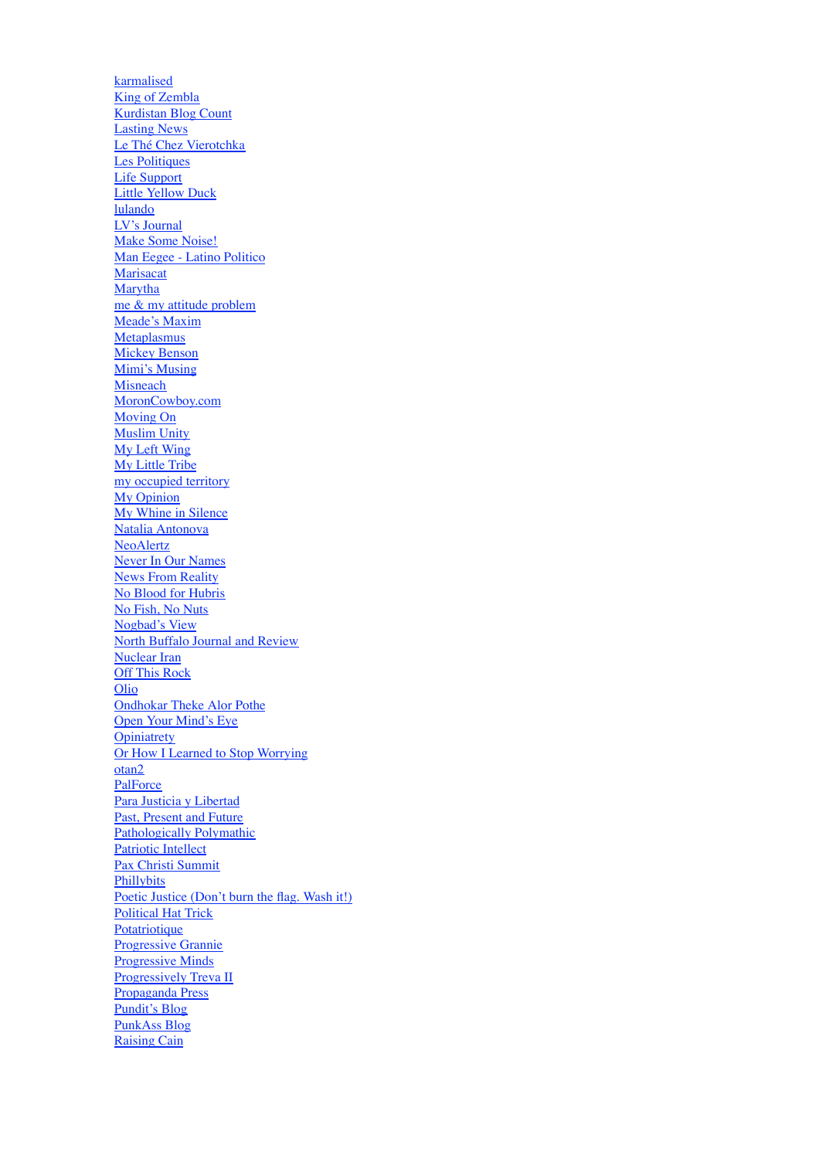karmalised King of Zembla Kurdistan Blog Count Lasting News Le Thé Chez Vierotchka Les Politiques Life Support Little Yellow Duck lulando LV's Journal Make Some Noise! Man Eegee - Latino Politico **Marisacat Marytha** me & my attitude problem Meade's Maxim **Metaplasmus** Mickey Benson Mimi's Musing **Misneach** MoronCowboy.com Moving On Muslim Unity My Left Wing My Little Tribe my occupied territory My Opinion My Whine in Silence Natalia Antonova NeoAlertz Never In Our Names News From Reality No Blood for Hubris No Fish, No Nuts Nogbad's View North Buffalo Journal and Review Nuclear Iran Off This Rock Olio Ondhokar Theke Alor Pothe Open Your Mind's Eye **Opiniatrety** Or How I Learned to Stop Worrying otan2 **PalForce** Para Justicia y Libertad Past, Present and Future Pathologically Polymathic Patriotic Intellect Pax Christi Summit **Phillybits** Poetic Justice (Don't burn the flag. Wash it!) Political Hat Trick **Potatriotique** Progressive Grannie Progressive Minds Progressively Treva II Propaganda Press Pundit's Blog PunkAss Blog Raising Cain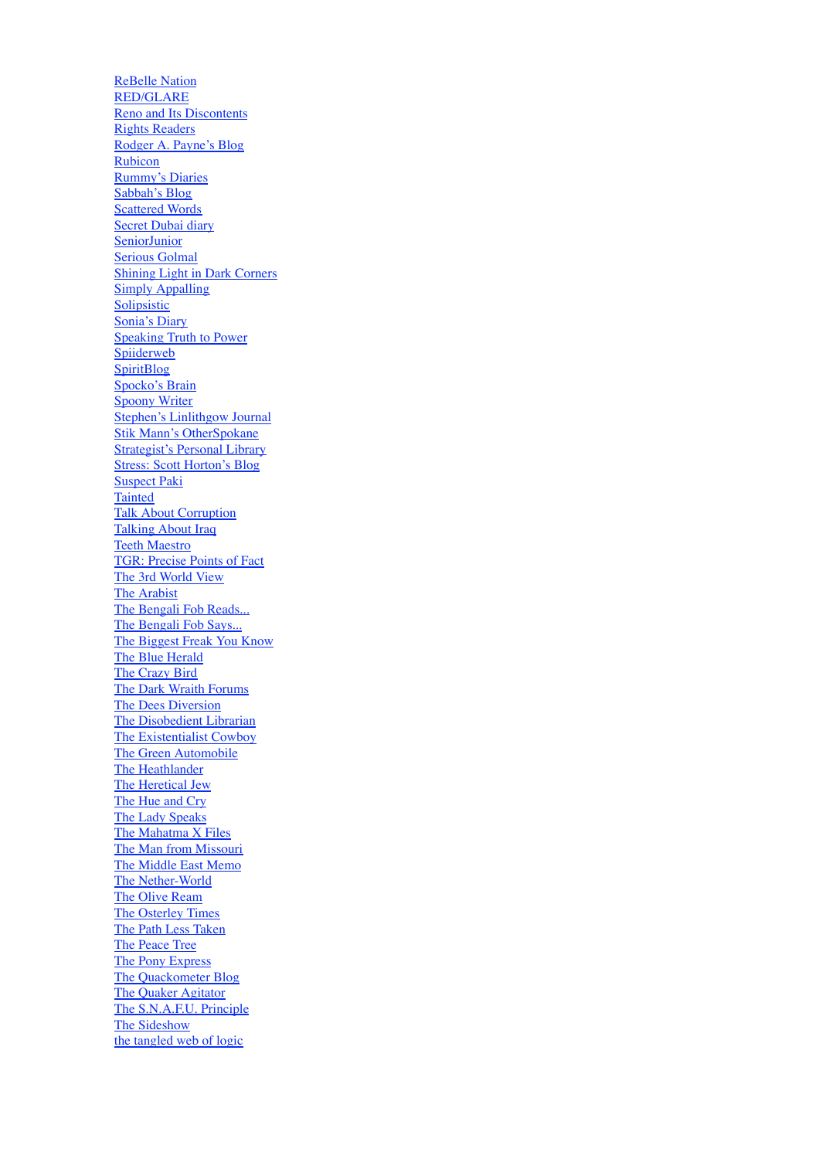ReBelle Nation RED/GLARE Reno and Its Discontents Rights Readers Rodger A. Payne's Blog Rubicon Rummy's Diaries Sabbah's Blog Scattered Words Secret Dubai diary **SeniorJunior** Serious Golmal Shining Light in Dark Corners **Simply Appalling** Solipsistic Sonia's Diary Speaking Truth to Power **Spiiderweb SpiritBlog** Spocko's Brain Spoony Writer Stephen's Linlithgow Journal Stik Mann's OtherSpokane Strategist's Personal Library Stress: Scott Horton's Blog Suspect Paki **Tainted** Talk About Corruption Talking About Iraq Teeth Maestro TGR: Precise Points of Fact The 3rd World View The Arabist The Bengali Fob Reads... The Bengali Fob Says... The Biggest Freak You Know The Blue Herald The Crazy Bird The Dark Wraith Forums The Dees Diversion The Disobedient Librarian The Existentialist Cowboy The Green Automobile The Heathlander The Heretical Jew The Hue and Cry The Lady Speaks The Mahatma X Files The Man from Missouri The Middle East Memo The Nether-World The Olive Ream The Osterley Times The Path Less Taken The Peace Tree The Pony Express The Quackometer Blog The Quaker Agitator The S.N.A.F.U. Principle The Sideshow the tangled web of logic